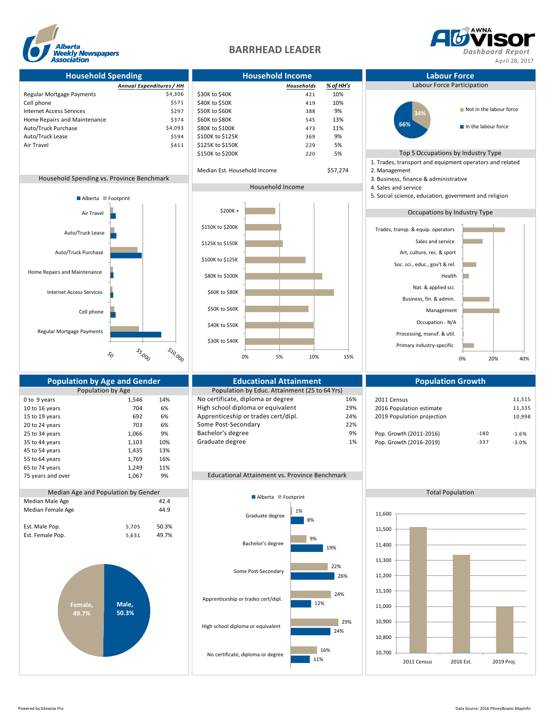



**Household Spending Household Income Labour Force** *Annual Expenditures / HH Households % of HH's* Labour Force Participation Regular Mortgage Payments **54,306** \$30K to \$40K 421 10% Cell phone  $$571$   $$40K$  to  $$50K$   $$419$   $10\%$ Internet Access Services \$297 \$50K to \$60K \$297 \$50K to \$60K \$297 \$50K \$297 \$50K \$207 \$208 \$388 \$374 Home Repairs and Maintenance Auto/Truck Purchase \$4,093 \$80K to \$100K 473 11% Auto/Truck Lease 59% **369 \$100K to \$125K** 369 9% Air Travel \$411 \$125K to \$150K 229 5% \$150K to \$200K 220 5% Top 5 Occupations by Industry Type 1. Trades, transport and equipment operators and related Median Est. Household Income \$57,274 2. Management Household Spending vs. Province Benchmark 3. Business, finance & administrative 3. Business, finance & administrative Household Income 4. Sales and service 5. Social science, education, government and religion Occupations by Industry Type Regular Mortgage Payments **Population by Age and Gender Consumersity Consumersity Consumersity Population Scowth**<br>Population by Age **Population Population Population** by Educ. Attainment (25 to 64 Yrs) Population by Educ. Attainment (25 to 64 Yrs) 0 to 9 years 1,546 14% No certificate, diploma or degree 16% 2011 Census 11,515<br>10 to 16 years 11,515 11,835 11,835 11,835 High school diploma or equivalent 29% 2016 Population estimate 11,335 10 to 16 years 11,335 10 to 16 years 704 6% High school diploma or equivalent 29% 2016 Population estimate 11,335 15 to 19 years 692 6% Apprenticeship or trades cert/dipl. 24% 2019 Population projection 10,998 20 to 24 years 1.066 703 6% Some Post-Secondary 22% 22% 22% 22% 86% Some Post-Secondary 22% 22% 22% 25 to 34 years 1,066 9% Bachelor's degree 9% 9% Pop. Growth (2011-2016) -180 -1.6% 35 to 44 years 1,103 10% Graduate degree 1 1% Pop. Growth (2016-2019) -337 -3.0% 45 to 54 years 1,435 13% 55 to 64 years 1,769 16% 65 to 74 years 1,249 11% 75 years and over 1,067 9% Educational Attainment vs. Province Benchmark Median Age and Population by Gender and Alberta Contract Contract Contract Contract Contract Contract Contract Contract Contract Contract Contract Contract Contract Contract Contract Contract Contract Contract Contract Con Median Male Age Median Female Age 44.9 Est. Male Pop. 65,705 50.3% Est. Female Pop. 65,631 49.7% Cell phone Internet Access Services Home Repairs and Maintenance Auto/Truck Purchase Auto/Truck Lease Air Travel \$10,000 **55,000**  $s^{\prime}_{O}$ Alberta **Footprint Male, 50.3% Female, 49.7%** 2011 Census 2016 Est. 2019 Proj. 10,700 10,800 10,900 11,000 11,100 11,200 11,300 11,400 11,500 11,600 11% 24% 12% 26% 19% 8% 16% 29% 24%  $22%$ 9% 1% No certificate, diploma or degree High school diploma or equivalent Apprenticeship or trades cert/dipl. Some Post-Secondary Bachelor's degree Graduate degree Alberta Footprint Primary industry-specific Processing, manuf. & util. Occupation - N/A Management Business, fin. & admin. Nat. & applied sci. Health Soc. sci., educ., gov't & rel. Art, culture, rec. & sport Sales and service Trades, transp. & equip. operators 0% 20% 40% **34% 66%** Not in the labour force In the labour force \$30K to \$40K \$40K to \$50K \$50K to \$60K \$60K to \$80K \$80K to \$100K \$100K to \$125K \$125K to \$150K \$150K to \$200K \$200K + 0% 5% 10% 15%